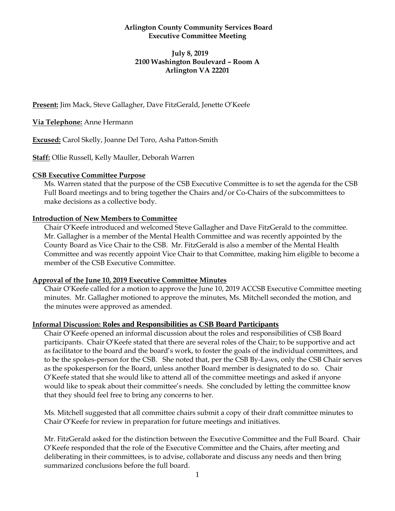#### **Arlington County Community Services Board Executive Committee Meeting**

#### **July 8, 2019 2100 Washington Boulevard – Room A Arlington VA 22201**

**Present:** Jim Mack, Steve Gallagher, Dave FitzGerald, Jenette O'Keefe

## **Via Telephone:** Anne Hermann

**Excused:** Carol Skelly, Joanne Del Toro, Asha Patton-Smith

**Staff:** Ollie Russell, Kelly Mauller, Deborah Warren

## **CSB Executive Committee Purpose**

Ms. Warren stated that the purpose of the CSB Executive Committee is to set the agenda for the CSB Full Board meetings and to bring together the Chairs and/or Co-Chairs of the subcommittees to make decisions as a collective body.

## **Introduction of New Members to Committee**

Chair O'Keefe introduced and welcomed Steve Gallagher and Dave FitzGerald to the committee. Mr. Gallagher is a member of the Mental Health Committee and was recently appointed by the County Board as Vice Chair to the CSB. Mr. FitzGerald is also a member of the Mental Health Committee and was recently appoint Vice Chair to that Committee, making him eligible to become a member of the CSB Executive Committee.

## **Approval of the June 10, 2019 Executive Committee Minutes**

Chair O'Keefe called for a motion to approve the June 10, 2019 ACCSB Executive Committee meeting minutes. Mr. Gallagher motioned to approve the minutes, Ms. Mitchell seconded the motion, and the minutes were approved as amended.

## **Informal Discussion: Roles and Responsibilities as CSB Board Participants**

Chair O'Keefe opened an informal discussion about the roles and responsibilities of CSB Board participants. Chair O'Keefe stated that there are several roles of the Chair; to be supportive and act as facilitator to the board and the board's work, to foster the goals of the individual committees, and to be the spokes-person for the CSB. She noted that, per the CSB By-Laws, only the CSB Chair serves as the spokesperson for the Board, unless another Board member is designated to do so. Chair O'Keefe stated that she would like to attend all of the committee meetings and asked if anyone would like to speak about their committee's needs. She concluded by letting the committee know that they should feel free to bring any concerns to her.

Ms. Mitchell suggested that all committee chairs submit a copy of their draft committee minutes to Chair O'Keefe for review in preparation for future meetings and initiatives.

Mr. FitzGerald asked for the distinction between the Executive Committee and the Full Board. Chair O'Keefe responded that the role of the Executive Committee and the Chairs, after meeting and deliberating in their committees, is to advise, collaborate and discuss any needs and then bring summarized conclusions before the full board.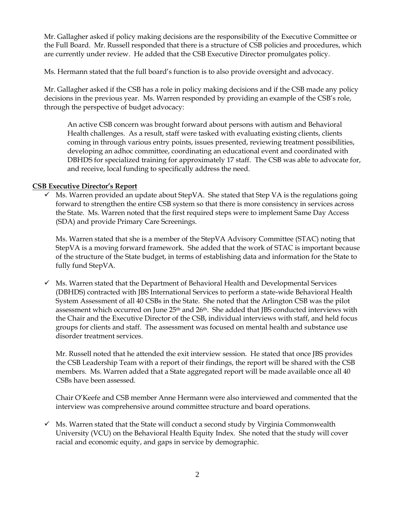Mr. Gallagher asked if policy making decisions are the responsibility of the Executive Committee or the Full Board. Mr. Russell responded that there is a structure of CSB policies and procedures, which are currently under review. He added that the CSB Executive Director promulgates policy.

Ms. Hermann stated that the full board's function is to also provide oversight and advocacy.

Mr. Gallagher asked if the CSB has a role in policy making decisions and if the CSB made any policy decisions in the previous year. Ms. Warren responded by providing an example of the CSB's role, through the perspective of budget advocacy:

An active CSB concern was brought forward about persons with autism and Behavioral Health challenges. As a result, staff were tasked with evaluating existing clients, clients coming in through various entry points, issues presented, reviewing treatment possibilities, developing an adhoc committee, coordinating an educational event and coordinated with DBHDS for specialized training for approximately 17 staff. The CSB was able to advocate for, and receive, local funding to specifically address the need.

# **CSB Executive Director's Report**

 $\checkmark$  Ms. Warren provided an update about StepVA. She stated that Step VA is the regulations going forward to strengthen the entire CSB system so that there is more consistency in services across the State. Ms. Warren noted that the first required steps were to implement Same Day Access (SDA) and provide Primary Care Screenings.

Ms. Warren stated that she is a member of the StepVA Advisory Committee (STAC) noting that StepVA is a moving forward framework. She added that the work of STAC is important because of the structure of the State budget, in terms of establishing data and information for the State to fully fund StepVA.

 $\checkmark$  Ms. Warren stated that the Department of Behavioral Health and Developmental Services (DBHDS) contracted with JBS International Services to perform a state-wide Behavioral Health System Assessment of all 40 CSBs in the State. She noted that the Arlington CSB was the pilot assessment which occurred on June  $25<sup>th</sup>$  and  $26<sup>th</sup>$ . She added that JBS conducted interviews with the Chair and the Executive Director of the CSB, individual interviews with staff, and held focus groups for clients and staff. The assessment was focused on mental health and substance use disorder treatment services.

Mr. Russell noted that he attended the exit interview session. He stated that once JBS provides the CSB Leadership Team with a report of their findings, the report will be shared with the CSB members. Ms. Warren added that a State aggregated report will be made available once all 40 CSBs have been assessed.

Chair O'Keefe and CSB member Anne Hermann were also interviewed and commented that the interview was comprehensive around committee structure and board operations.

 $\checkmark$  Ms. Warren stated that the State will conduct a second study by Virginia Commonwealth University (VCU) on the Behavioral Health Equity Index. She noted that the study will cover racial and economic equity, and gaps in service by demographic.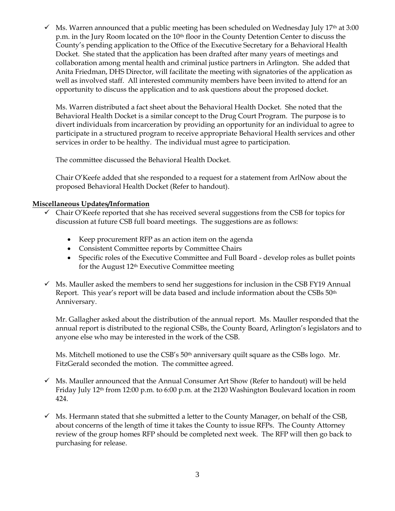$\checkmark$  Ms. Warren announced that a public meeting has been scheduled on Wednesday July 17<sup>th</sup> at 3:00 p.m. in the Jury Room located on the 10<sup>th</sup> floor in the County Detention Center to discuss the County's pending application to the Office of the Executive Secretary for a Behavioral Health Docket. She stated that the application has been drafted after many years of meetings and collaboration among mental health and criminal justice partners in Arlington. She added that Anita Friedman, DHS Director, will facilitate the meeting with signatories of the application as well as involved staff. All interested community members have been invited to attend for an opportunity to discuss the application and to ask questions about the proposed docket.

Ms. Warren distributed a fact sheet about the Behavioral Health Docket. She noted that the Behavioral Health Docket is a similar concept to the Drug Court Program. The purpose is to divert individuals from incarceration by providing an opportunity for an individual to agree to participate in a structured program to receive appropriate Behavioral Health services and other services in order to be healthy. The individual must agree to participation.

The committee discussed the Behavioral Health Docket.

Chair O'Keefe added that she responded to a request for a statement from ArlNow about the proposed Behavioral Health Docket (Refer to handout).

# **Miscellaneous Updates/Information**

- $\checkmark$  Chair O'Keefe reported that she has received several suggestions from the CSB for topics for discussion at future CSB full board meetings. The suggestions are as follows:
	- Keep procurement RFP as an action item on the agenda
	- Consistent Committee reports by Committee Chairs
	- Specific roles of the Executive Committee and Full Board develop roles as bullet points for the August 12<sup>th</sup> Executive Committee meeting
- $\checkmark$  Ms. Mauller asked the members to send her suggestions for inclusion in the CSB FY19 Annual Report. This year's report will be data based and include information about the CSBs 50th Anniversary.

Mr. Gallagher asked about the distribution of the annual report. Ms. Mauller responded that the annual report is distributed to the regional CSBs, the County Board, Arlington's legislators and to anyone else who may be interested in the work of the CSB.

Ms. Mitchell motioned to use the CSB's 50<sup>th</sup> anniversary quilt square as the CSBs logo. Mr. FitzGerald seconded the motion. The committee agreed.

- $\checkmark$  Ms. Mauller announced that the Annual Consumer Art Show (Refer to handout) will be held Friday July 12th from 12:00 p.m. to 6:00 p.m. at the 2120 Washington Boulevard location in room 424.
- $\checkmark$  Ms. Hermann stated that she submitted a letter to the County Manager, on behalf of the CSB, about concerns of the length of time it takes the County to issue RFPs. The County Attorney review of the group homes RFP should be completed next week. The RFP will then go back to purchasing for release.